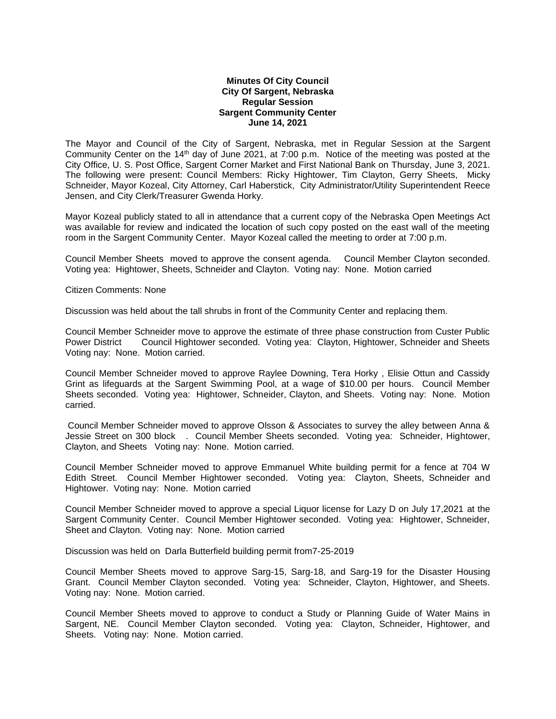## **Minutes Of City Council City Of Sargent, Nebraska Regular Session Sargent Community Center June 14, 2021**

The Mayor and Council of the City of Sargent, Nebraska, met in Regular Session at the Sargent Community Center on the 14th day of June 2021, at 7:00 p.m. Notice of the meeting was posted at the City Office, U. S. Post Office, Sargent Corner Market and First National Bank on Thursday, June 3, 2021. The following were present: Council Members: Ricky Hightower, Tim Clayton, Gerry Sheets, Micky Schneider, Mayor Kozeal, City Attorney, Carl Haberstick, City Administrator/Utility Superintendent Reece Jensen, and City Clerk/Treasurer Gwenda Horky.

Mayor Kozeal publicly stated to all in attendance that a current copy of the Nebraska Open Meetings Act was available for review and indicated the location of such copy posted on the east wall of the meeting room in the Sargent Community Center. Mayor Kozeal called the meeting to order at 7:00 p.m.

Council Member Sheets moved to approve the consent agenda. Council Member Clayton seconded. Voting yea: Hightower, Sheets, Schneider and Clayton. Voting nay: None. Motion carried

Citizen Comments: None

Discussion was held about the tall shrubs in front of the Community Center and replacing them.

Council Member Schneider move to approve the estimate of three phase construction from Custer Public Power District Council Hightower seconded. Voting yea: Clayton, Hightower, Schneider and Sheets Voting nay: None. Motion carried.

Council Member Schneider moved to approve Raylee Downing, Tera Horky , Elisie Ottun and Cassidy Grint as lifeguards at the Sargent Swimming Pool, at a wage of \$10.00 per hours. Council Member Sheets seconded. Voting yea: Hightower, Schneider, Clayton, and Sheets. Voting nay: None. Motion carried.

Council Member Schneider moved to approve Olsson & Associates to survey the alley between Anna & Jessie Street on 300 block . Council Member Sheets seconded. Voting yea: Schneider, Hightower, Clayton, and Sheets Voting nay: None. Motion carried.

Council Member Schneider moved to approve Emmanuel White building permit for a fence at 704 W Edith Street. Council Member Hightower seconded. Voting yea: Clayton, Sheets, Schneider and Hightower. Voting nay: None. Motion carried

Council Member Schneider moved to approve a special Liquor license for Lazy D on July 17,2021 at the Sargent Community Center. Council Member Hightower seconded. Voting yea: Hightower, Schneider, Sheet and Clayton. Voting nay: None. Motion carried

Discussion was held on Darla Butterfield building permit from7-25-2019

Council Member Sheets moved to approve Sarg-15, Sarg-18, and Sarg-19 for the Disaster Housing Grant. Council Member Clayton seconded. Voting yea: Schneider, Clayton, Hightower, and Sheets. Voting nay: None. Motion carried.

Council Member Sheets moved to approve to conduct a Study or Planning Guide of Water Mains in Sargent, NE. Council Member Clayton seconded. Voting yea: Clayton, Schneider, Hightower, and Sheets. Voting nay: None. Motion carried.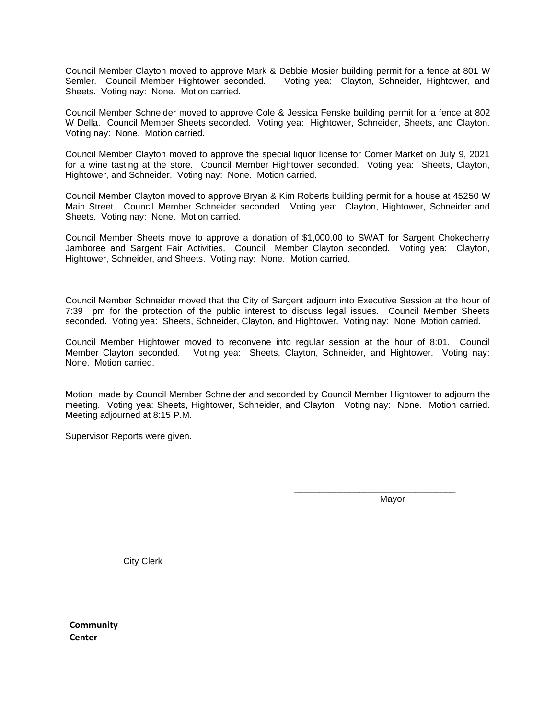Council Member Clayton moved to approve Mark & Debbie Mosier building permit for a fence at 801 W Semler. Council Member Hightower seconded. Voting yea: Clayton, Schneider, Hightower, and Sheets. Voting nay: None. Motion carried.

Council Member Schneider moved to approve Cole & Jessica Fenske building permit for a fence at 802 W Della. Council Member Sheets seconded. Voting yea: Hightower, Schneider, Sheets, and Clayton. Voting nay: None. Motion carried.

Council Member Clayton moved to approve the special liquor license for Corner Market on July 9, 2021 for a wine tasting at the store. Council Member Hightower seconded. Voting yea: Sheets, Clayton, Hightower, and Schneider. Voting nay: None. Motion carried.

Council Member Clayton moved to approve Bryan & Kim Roberts building permit for a house at 45250 W Main Street. Council Member Schneider seconded. Voting yea: Clayton, Hightower, Schneider and Sheets. Voting nay: None. Motion carried.

Council Member Sheets move to approve a donation of \$1,000.00 to SWAT for Sargent Chokecherry Jamboree and Sargent Fair Activities. Council Member Clayton seconded. Voting yea: Clayton, Hightower, Schneider, and Sheets. Voting nay: None. Motion carried.

Council Member Schneider moved that the City of Sargent adjourn into Executive Session at the hour of 7:39 pm for the protection of the public interest to discuss legal issues. Council Member Sheets seconded. Voting yea: Sheets, Schneider, Clayton, and Hightower. Voting nay: None Motion carried.

Council Member Hightower moved to reconvene into regular session at the hour of 8:01. Council Member Clayton seconded. Voting yea: Sheets, Clayton, Schneider, and Hightower. Voting nay: None. Motion carried.

Motion made by Council Member Schneider and seconded by Council Member Hightower to adjourn the meeting. Voting yea: Sheets, Hightower, Schneider, and Clayton. Voting nay: None. Motion carried. Meeting adjourned at 8:15 P.M.

Supervisor Reports were given.

Mayor

\_\_\_\_\_\_\_\_\_\_\_\_\_\_\_\_\_\_\_\_\_\_\_\_\_\_\_\_\_\_\_\_

City Clerk

\_\_\_\_\_\_\_\_\_\_\_\_\_\_\_\_\_\_\_\_\_\_\_\_\_\_\_\_\_\_\_\_\_\_

**Community Center**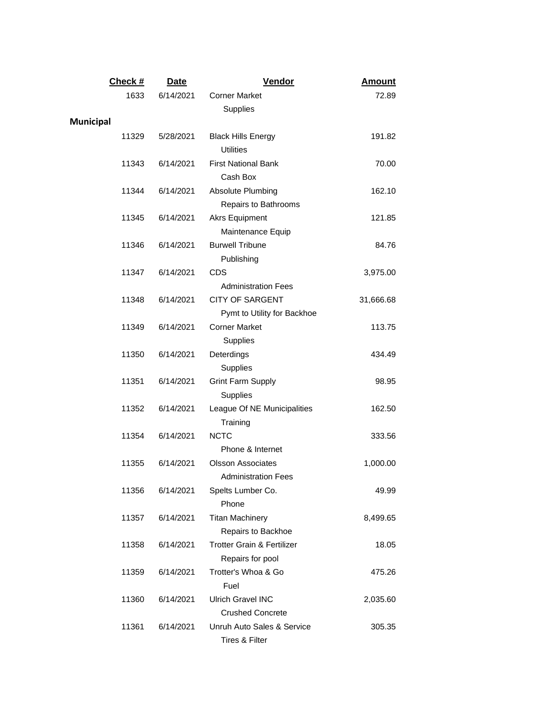| Check #          | Date      | Vendor                                                 | <b>Amount</b> |
|------------------|-----------|--------------------------------------------------------|---------------|
| 1633             | 6/14/2021 | <b>Corner Market</b>                                   | 72.89         |
|                  |           | Supplies                                               |               |
| <b>Municipal</b> |           |                                                        |               |
| 11329            | 5/28/2021 | <b>Black Hills Energy</b><br><b>Utilities</b>          | 191.82        |
| 11343            | 6/14/2021 | <b>First National Bank</b><br>Cash Box                 | 70.00         |
| 11344            | 6/14/2021 | Absolute Plumbing<br>Repairs to Bathrooms              | 162.10        |
| 11345            | 6/14/2021 | <b>Akrs Equipment</b><br>Maintenance Equip             | 121.85        |
| 11346            | 6/14/2021 | <b>Burwell Tribune</b><br>Publishing                   | 84.76         |
| 11347            | 6/14/2021 | CDS<br><b>Administration Fees</b>                      | 3,975.00      |
| 11348            | 6/14/2021 | <b>CITY OF SARGENT</b><br>Pymt to Utility for Backhoe  | 31,666.68     |
| 11349            | 6/14/2021 | <b>Corner Market</b><br>Supplies                       | 113.75        |
| 11350            | 6/14/2021 | Deterdings<br>Supplies                                 | 434.49        |
| 11351            | 6/14/2021 | <b>Grint Farm Supply</b><br>Supplies                   | 98.95         |
| 11352            | 6/14/2021 | League Of NE Municipalities<br>Training                | 162.50        |
| 11354            | 6/14/2021 | <b>NCTC</b><br>Phone & Internet                        | 333.56        |
| 11355            | 6/14/2021 | <b>Olsson Associates</b><br><b>Administration Fees</b> | 1,000.00      |
| 11356            | 6/14/2021 | Spelts Lumber Co.<br>Phone                             | 49.99         |
| 11357            | 6/14/2021 | <b>Titan Machinery</b><br>Repairs to Backhoe           | 8,499.65      |
| 11358            | 6/14/2021 | Trotter Grain & Fertilizer<br>Repairs for pool         | 18.05         |
| 11359            | 6/14/2021 | Trotter's Whoa & Go<br>Fuel                            | 475.26        |
| 11360            | 6/14/2021 | <b>Ulrich Gravel INC</b><br><b>Crushed Concrete</b>    | 2,035.60      |
| 11361            | 6/14/2021 | Unruh Auto Sales & Service<br>Tires & Filter           | 305.35        |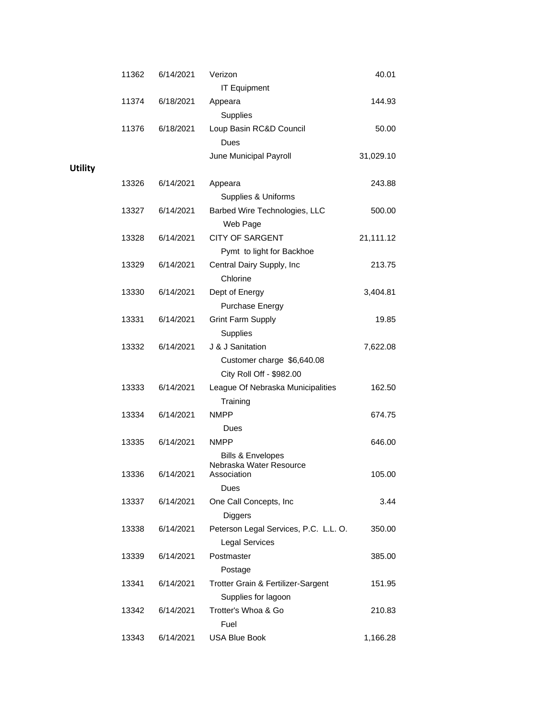|                | 11362 | 6/14/2021 | Verizon<br><b>IT Equipment</b>               | 40.01     |
|----------------|-------|-----------|----------------------------------------------|-----------|
|                | 11374 | 6/18/2021 | Appeara                                      | 144.93    |
|                |       |           | Supplies                                     |           |
|                | 11376 | 6/18/2021 | Loup Basin RC&D Council                      | 50.00     |
|                |       |           | Dues                                         |           |
|                |       |           | June Municipal Payroll                       | 31,029.10 |
| <b>Utility</b> |       |           |                                              |           |
|                | 13326 | 6/14/2021 | Appeara                                      | 243.88    |
|                |       |           | Supplies & Uniforms                          |           |
|                | 13327 | 6/14/2021 | Barbed Wire Technologies, LLC                | 500.00    |
|                |       |           | Web Page                                     |           |
|                | 13328 | 6/14/2021 | <b>CITY OF SARGENT</b>                       | 21,111.12 |
|                |       |           | Pymt to light for Backhoe                    |           |
|                | 13329 | 6/14/2021 | Central Dairy Supply, Inc                    | 213.75    |
|                |       |           | Chlorine                                     |           |
|                | 13330 | 6/14/2021 | Dept of Energy                               | 3,404.81  |
|                |       |           | Purchase Energy                              |           |
|                | 13331 | 6/14/2021 | <b>Grint Farm Supply</b>                     | 19.85     |
|                |       |           | Supplies                                     |           |
|                | 13332 | 6/14/2021 | J & J Sanitation                             |           |
|                |       |           |                                              | 7,622.08  |
|                |       |           | Customer charge \$6,640.08                   |           |
|                |       |           | City Roll Off - \$982.00                     |           |
|                | 13333 | 6/14/2021 | League Of Nebraska Municipalities            | 162.50    |
|                |       |           | Training<br><b>NMPP</b>                      |           |
|                | 13334 | 6/14/2021 |                                              | 674.75    |
|                |       |           | Dues                                         |           |
|                | 13335 | 6/14/2021 | <b>NMPP</b>                                  | 646.00    |
|                |       |           | Bills & Envelopes<br>Nebraska Water Resource |           |
|                | 13336 | 6/14/2021 | Association                                  | 105.00    |
|                |       |           | Dues                                         |           |
|                | 13337 | 6/14/2021 | One Call Concepts, Inc                       | 3.44      |
|                |       |           | Diggers                                      |           |
|                | 13338 | 6/14/2021 | Peterson Legal Services, P.C. L.L. O.        | 350.00    |
|                |       |           | <b>Legal Services</b>                        |           |
|                | 13339 | 6/14/2021 | Postmaster                                   | 385.00    |
|                |       |           | Postage                                      |           |
|                | 13341 | 6/14/2021 | Trotter Grain & Fertilizer-Sargent           | 151.95    |
|                |       |           | Supplies for lagoon                          |           |
|                | 13342 | 6/14/2021 | Trotter's Whoa & Go                          | 210.83    |
|                |       |           | Fuel                                         |           |
|                | 13343 | 6/14/2021 | <b>USA Blue Book</b>                         | 1,166.28  |